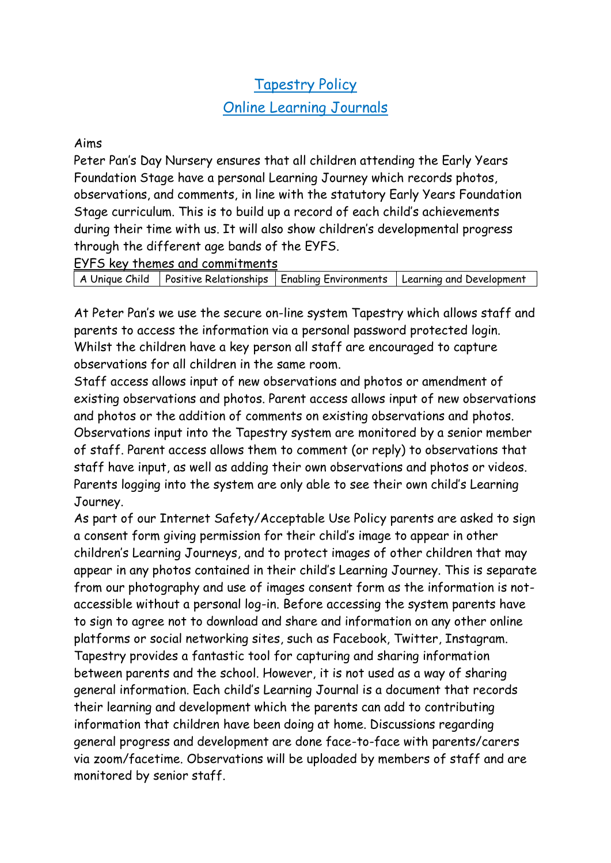# Tapestry Policy

## Online Learning Journals

#### Aims

Peter Pan's Day Nursery ensures that all children attending the Early Years Foundation Stage have a personal Learning Journey which records photos, observations, and comments, in line with the statutory Early Years Foundation Stage curriculum. This is to build up a record of each child's achievements during their time with us. It will also show children's developmental progress through the different age bands of the EYFS.

EYFS key themes and commitments

A Unique Child | Positive Relationships | Enabling Environments | Learning and Development

At Peter Pan's we use the secure on-line system Tapestry which allows staff and parents to access the information via a personal password protected login. Whilst the children have a key person all staff are encouraged to capture observations for all children in the same room.

Staff access allows input of new observations and photos or amendment of existing observations and photos. Parent access allows input of new observations and photos or the addition of comments on existing observations and photos. Observations input into the Tapestry system are monitored by a senior member of staff. Parent access allows them to comment (or reply) to observations that staff have input, as well as adding their own observations and photos or videos. Parents logging into the system are only able to see their own child's Learning Journey.

As part of our Internet Safety/Acceptable Use Policy parents are asked to sign a consent form giving permission for their child's image to appear in other children's Learning Journeys, and to protect images of other children that may appear in any photos contained in their child's Learning Journey. This is separate from our photography and use of images consent form as the information is notaccessible without a personal log-in. Before accessing the system parents have to sign to agree not to download and share and information on any other online platforms or social networking sites, such as Facebook, Twitter, Instagram. Tapestry provides a fantastic tool for capturing and sharing information between parents and the school. However, it is not used as a way of sharing general information. Each child's Learning Journal is a document that records their learning and development which the parents can add to contributing information that children have been doing at home. Discussions regarding general progress and development are done face-to-face with parents/carers via zoom/facetime. Observations will be uploaded by members of staff and are monitored by senior staff.